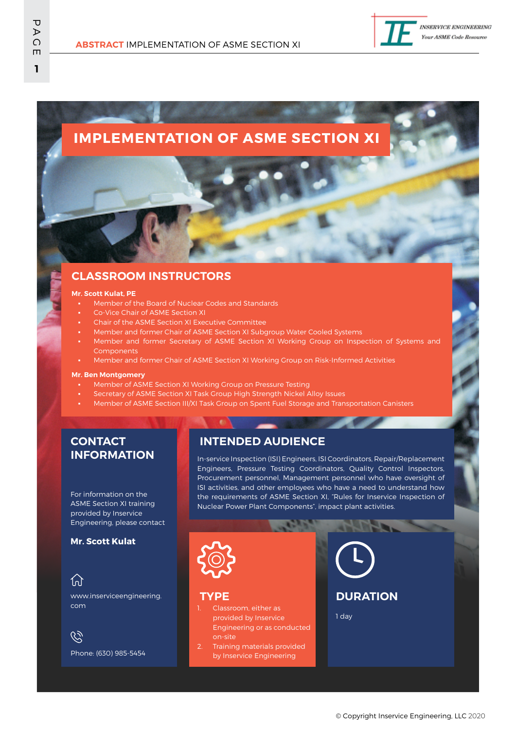

# **IMPLEMENTATION OF ASME SECTION XI**

### **CLASSROOM INSTRUCTORS**

#### **Mr. Scott Kulat, PE**

- Member of the Board of Nuclear Codes and Standards
- Co-Vice Chair of ASME Section XI
- Chair of the ASME Section XI Executive Committee
- Member and former Chair of ASME Section XI Subgroup Water Cooled Systems
- Member and former Secretary of ASME Section XI Working Group on Inspection of Systems and **Components**
- Member and former Chair of ASME Section XI Working Group on Risk-Informed Activities

#### **Mr. Ben Montgomery**

- Member of ASME Section XI Working Group on Pressure Testing
- Secretary of ASME Section XI Task Group High Strength Nickel Alloy Issues
- Member of ASME Section III/XI Task Group on Spent Fuel Storage and Transportation Canisters

#### **CONTACT INFORMATION**

For information on the ASME Section XI training provided by Inservice Engineering, please contact

#### **Mr. Scott Kulat**

#### $\{n\}$ www.inserviceengineering. com

 $\mathscr{C}$ Phone: (630) 985-5454

#### **INTENDED AUDIENCE**

In-service Inspection (ISI) Engineers, ISI Coordinators, Repair/Replacement Engineers, Pressure Testing Coordinators, Quality Control Inspectors, Procurement personnel, Management personnel who have oversight of ISI activities, and other employees who have a need to understand how the requirements of ASME Section XI, "Rules for Inservice Inspection of Nuclear Power Plant Components", impact plant activities.



#### **TYPE**

Classroom, either as provided by Inservice Engineering or as conducted on-site

Training materials provided by Inservice Engineering

# **DURATION**

1 day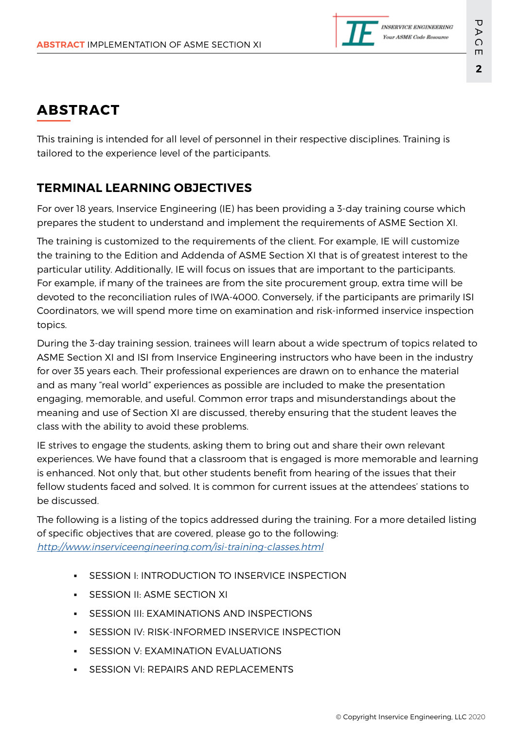

# **ABSTRACT**

This training is intended for all level of personnel in their respective disciplines. Training is tailored to the experience level of the participants.

## **TERMINAL LEARNING OBJECTIVES**

For over 18 years, Inservice Engineering (IE) has been providing a 3-day training course which prepares the student to understand and implement the requirements of ASME Section XI.

The training is customized to the requirements of the client. For example, IE will customize the training to the Edition and Addenda of ASME Section XI that is of greatest interest to the particular utility. Additionally, IE will focus on issues that are important to the participants. For example, if many of the trainees are from the site procurement group, extra time will be devoted to the reconciliation rules of IWA-4000. Conversely, if the participants are primarily ISI Coordinators, we will spend more time on examination and risk-informed inservice inspection topics.

During the 3-day training session, trainees will learn about a wide spectrum of topics related to ASME Section XI and ISI from Inservice Engineering instructors who have been in the industry for over 35 years each. Their professional experiences are drawn on to enhance the material and as many "real world" experiences as possible are included to make the presentation engaging, memorable, and useful. Common error traps and misunderstandings about the meaning and use of Section XI are discussed, thereby ensuring that the student leaves the class with the ability to avoid these problems.

IE strives to engage the students, asking them to bring out and share their own relevant experiences. We have found that a classroom that is engaged is more memorable and learning is enhanced. Not only that, but other students benefit from hearing of the issues that their fellow students faced and solved. It is common for current issues at the attendees' stations to be discussed.

The following is a listing of the topics addressed during the training. For a more detailed listing of specific objectives that are covered, please go to the following: <http://www.inserviceengineering.com/isi-training-classes.html>

- SESSION I: INTRODUCTION TO INSERVICE INSPECTION
- SESSION II: ASME SECTION XI
- **SESSION III: EXAMINATIONS AND INSPECTIONS**
- SESSION IV: RISK-INFORMED INSERVICE INSPECTION
- **SESSION V: EXAMINATION EVALUATIONS**
- **SESSION VI: REPAIRS AND REPLACEMENTS**